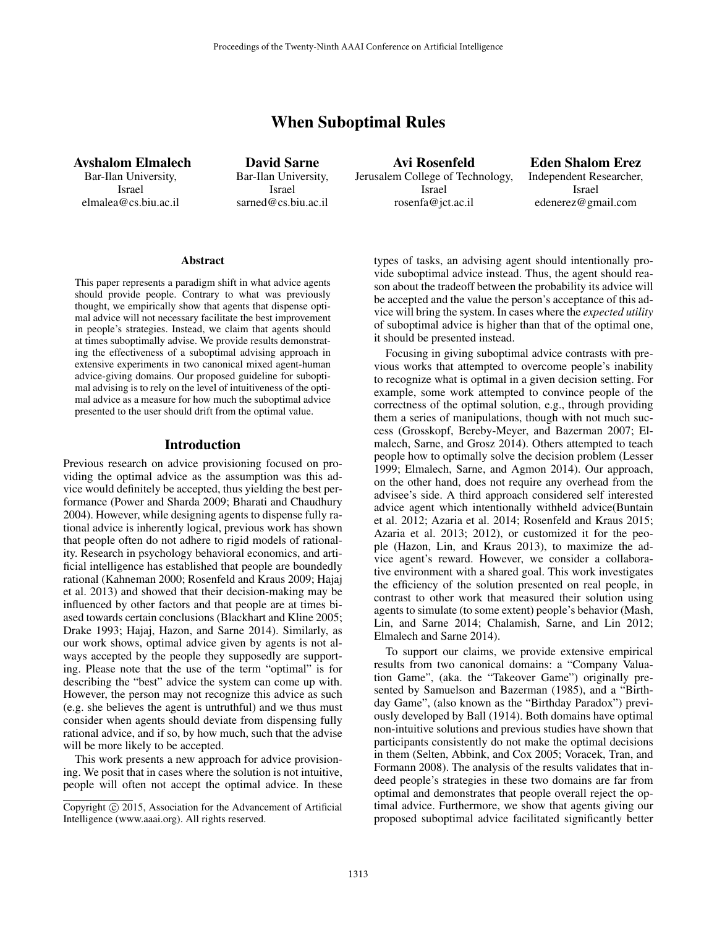# When Suboptimal Rules

Avshalom Elmalech Bar-Ilan University, Israel elmalea@cs.biu.ac.il

David Sarne Bar-Ilan University, Israel sarned@cs.biu.ac.il

Avi Rosenfeld Jerusalem College of Technology, Israel rosenfa@jct.ac.il

Eden Shalom Erez Independent Researcher, Israel edenerez@gmail.com

#### Abstract

This paper represents a paradigm shift in what advice agents should provide people. Contrary to what was previously thought, we empirically show that agents that dispense optimal advice will not necessary facilitate the best improvement in people's strategies. Instead, we claim that agents should at times suboptimally advise. We provide results demonstrating the effectiveness of a suboptimal advising approach in extensive experiments in two canonical mixed agent-human advice-giving domains. Our proposed guideline for suboptimal advising is to rely on the level of intuitiveness of the optimal advice as a measure for how much the suboptimal advice presented to the user should drift from the optimal value.

#### Introduction

Previous research on advice provisioning focused on providing the optimal advice as the assumption was this advice would definitely be accepted, thus yielding the best performance (Power and Sharda 2009; Bharati and Chaudhury 2004). However, while designing agents to dispense fully rational advice is inherently logical, previous work has shown that people often do not adhere to rigid models of rationality. Research in psychology behavioral economics, and artificial intelligence has established that people are boundedly rational (Kahneman 2000; Rosenfeld and Kraus 2009; Hajaj et al. 2013) and showed that their decision-making may be influenced by other factors and that people are at times biased towards certain conclusions (Blackhart and Kline 2005; Drake 1993; Hajaj, Hazon, and Sarne 2014). Similarly, as our work shows, optimal advice given by agents is not always accepted by the people they supposedly are supporting. Please note that the use of the term "optimal" is for describing the "best" advice the system can come up with. However, the person may not recognize this advice as such (e.g. she believes the agent is untruthful) and we thus must consider when agents should deviate from dispensing fully rational advice, and if so, by how much, such that the advise will be more likely to be accepted.

This work presents a new approach for advice provisioning. We posit that in cases where the solution is not intuitive, people will often not accept the optimal advice. In these

types of tasks, an advising agent should intentionally provide suboptimal advice instead. Thus, the agent should reason about the tradeoff between the probability its advice will be accepted and the value the person's acceptance of this advice will bring the system. In cases where the *expected utility* of suboptimal advice is higher than that of the optimal one, it should be presented instead.

Focusing in giving suboptimal advice contrasts with previous works that attempted to overcome people's inability to recognize what is optimal in a given decision setting. For example, some work attempted to convince people of the correctness of the optimal solution, e.g., through providing them a series of manipulations, though with not much success (Grosskopf, Bereby-Meyer, and Bazerman 2007; Elmalech, Sarne, and Grosz 2014). Others attempted to teach people how to optimally solve the decision problem (Lesser 1999; Elmalech, Sarne, and Agmon 2014). Our approach, on the other hand, does not require any overhead from the advisee's side. A third approach considered self interested advice agent which intentionally withheld advice(Buntain et al. 2012; Azaria et al. 2014; Rosenfeld and Kraus 2015; Azaria et al. 2013; 2012), or customized it for the people (Hazon, Lin, and Kraus 2013), to maximize the advice agent's reward. However, we consider a collaborative environment with a shared goal. This work investigates the efficiency of the solution presented on real people, in contrast to other work that measured their solution using agents to simulate (to some extent) people's behavior (Mash, Lin, and Sarne 2014; Chalamish, Sarne, and Lin 2012; Elmalech and Sarne 2014).

To support our claims, we provide extensive empirical results from two canonical domains: a "Company Valuation Game", (aka. the "Takeover Game") originally presented by Samuelson and Bazerman (1985), and a "Birthday Game", (also known as the "Birthday Paradox") previously developed by Ball (1914). Both domains have optimal non-intuitive solutions and previous studies have shown that participants consistently do not make the optimal decisions in them (Selten, Abbink, and Cox 2005; Voracek, Tran, and Formann 2008). The analysis of the results validates that indeed people's strategies in these two domains are far from optimal and demonstrates that people overall reject the optimal advice. Furthermore, we show that agents giving our proposed suboptimal advice facilitated significantly better

Copyright (c) 2015, Association for the Advancement of Artificial Intelligence (www.aaai.org). All rights reserved.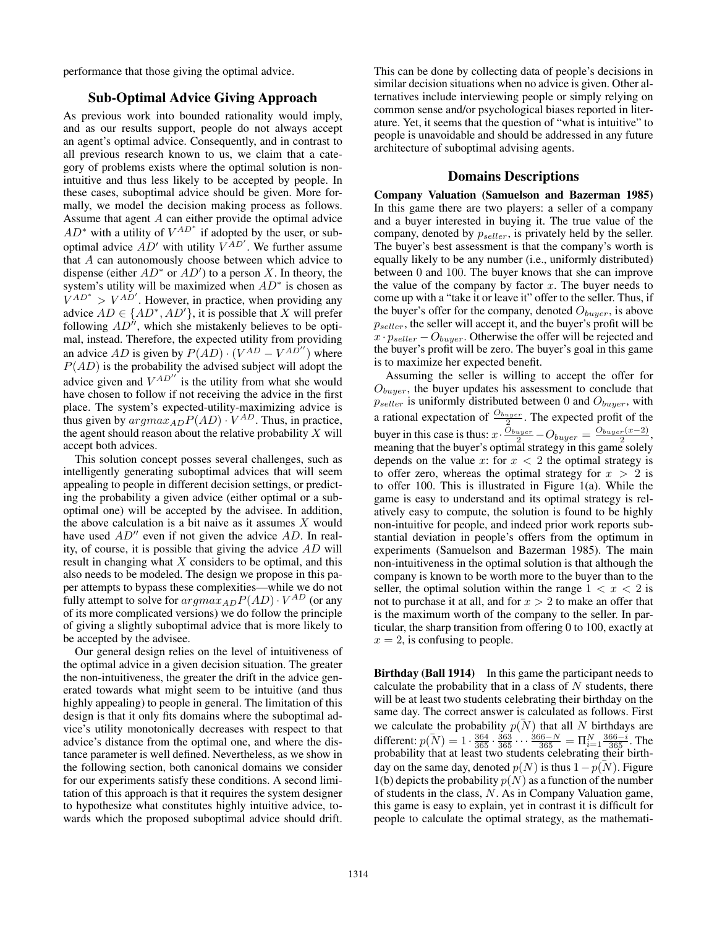performance that those giving the optimal advice.

#### Sub-Optimal Advice Giving Approach

As previous work into bounded rationality would imply, and as our results support, people do not always accept an agent's optimal advice. Consequently, and in contrast to all previous research known to us, we claim that a category of problems exists where the optimal solution is nonintuitive and thus less likely to be accepted by people. In these cases, suboptimal advice should be given. More formally, we model the decision making process as follows. Assume that agent A can either provide the optimal advice  $AD^*$  with a utility of  $V^{AD^*}$  if adopted by the user, or suboptimal advice  $AD'$  with utility  $V^{AD'}$ . We further assume that A can autonomously choose between which advice to dispense (either  $AD^*$  or  $AD'$ ) to a person X. In theory, the system's utility will be maximized when  $AD^*$  is chosen as  $V^{AD^*} > V^{AD'}$ . However, in practice, when providing any advice  $AD \in \{AD^*, AD'\}$ , it is possible that X will prefer following  $AD^{\prime\prime}$ , which she mistakenly believes to be optimal, instead. Therefore, the expected utility from providing an advice AD is given by  $P(AD) \cdot (V^{AD} - V^{AD''})$  where  $P(AD)$  is the probability the advised subject will adopt the advice given and  $V^{AD}$  is the utility from what she would have chosen to follow if not receiving the advice in the first place. The system's expected-utility-maximizing advice is thus given by  $argmax_{AD} P(AD) \cdot V^{AD}$ . Thus, in practice, the agent should reason about the relative probability  $X$  will accept both advices.

This solution concept posses several challenges, such as intelligently generating suboptimal advices that will seem appealing to people in different decision settings, or predicting the probability a given advice (either optimal or a suboptimal one) will be accepted by the advisee. In addition, the above calculation is a bit naive as it assumes  $X$  would have used  $AD''$  even if not given the advice  $AD$ . In reality, of course, it is possible that giving the advice AD will result in changing what  $X$  considers to be optimal, and this also needs to be modeled. The design we propose in this paper attempts to bypass these complexities—while we do not fully attempt to solve for  $argmax_{AD} P(AD) \cdot V^{AD}$  (or any of its more complicated versions) we do follow the principle of giving a slightly suboptimal advice that is more likely to be accepted by the advisee.

Our general design relies on the level of intuitiveness of the optimal advice in a given decision situation. The greater the non-intuitiveness, the greater the drift in the advice generated towards what might seem to be intuitive (and thus highly appealing) to people in general. The limitation of this design is that it only fits domains where the suboptimal advice's utility monotonically decreases with respect to that advice's distance from the optimal one, and where the distance parameter is well defined. Nevertheless, as we show in the following section, both canonical domains we consider for our experiments satisfy these conditions. A second limitation of this approach is that it requires the system designer to hypothesize what constitutes highly intuitive advice, towards which the proposed suboptimal advice should drift.

This can be done by collecting data of people's decisions in similar decision situations when no advice is given. Other alternatives include interviewing people or simply relying on common sense and/or psychological biases reported in literature. Yet, it seems that the question of "what is intuitive" to people is unavoidable and should be addressed in any future architecture of suboptimal advising agents.

#### Domains Descriptions

Company Valuation (Samuelson and Bazerman 1985) In this game there are two players: a seller of a company and a buyer interested in buying it. The true value of the company, denoted by  $p_{\text{selfer}}$ , is privately held by the seller. The buyer's best assessment is that the company's worth is equally likely to be any number (i.e., uniformly distributed) between 0 and 100. The buyer knows that she can improve the value of the company by factor  $x$ . The buyer needs to come up with a "take it or leave it" offer to the seller. Thus, if the buyer's offer for the company, denoted  $O_{b \mu \nu}$ , is above  $p_{\textit{select}}$ , the seller will accept it, and the buyer's profit will be  $x \cdot p_{\textit{select}} - O_{\textit{bauer}}$ . Otherwise the offer will be rejected and the buyer's profit will be zero. The buyer's goal in this game is to maximize her expected benefit.

Assuming the seller is willing to accept the offer for  $O_{bauer}$ , the buyer updates his assessment to conclude that  $p_{\textit{select}}$  is uniformly distributed between 0 and  $O_{\textit{burger}}$ , with a rational expectation of  $\frac{O_{buyer}}{2}$ . The expected profit of the buyer in this case is thus:  $x \cdot \frac{O_{buyer}}{2} - O_{buyer} = \frac{O_{buyer}(x-2)}{2}$ , meaning that the buyer's optimal strategy in this game solely depends on the value x: for  $x < 2$  the optimal strategy is to offer zero, whereas the optimal strategy for  $x > 2$  is to offer 100. This is illustrated in Figure 1(a). While the game is easy to understand and its optimal strategy is relatively easy to compute, the solution is found to be highly non-intuitive for people, and indeed prior work reports substantial deviation in people's offers from the optimum in experiments (Samuelson and Bazerman 1985). The main non-intuitiveness in the optimal solution is that although the company is known to be worth more to the buyer than to the seller, the optimal solution within the range  $1 < x < 2$  is not to purchase it at all, and for  $x > 2$  to make an offer that is the maximum worth of the company to the seller. In particular, the sharp transition from offering 0 to 100, exactly at  $x = 2$ , is confusing to people.

Birthday (Ball 1914) In this game the participant needs to calculate the probability that in a class of  $N$  students, there will be at least two students celebrating their birthday on the same day. The correct answer is calculated as follows. First we calculate the probability  $p(N)$  that all N birthdays are different:  $p(N) = 1 \cdot \frac{364}{365} \cdot \frac{363}{365} \cdot \cdot \cdot \frac{366 - N}{365} = \prod_{i=1}^{N} \frac{366 - i}{365}$ . The probability that at least two students celebrating their birthday on the same day, denoted  $p(N)$  is thus  $1-p(N)$ . Figure 1(b) depicts the probability  $p(N)$  as a function of the number of students in the class, N. As in Company Valuation game, this game is easy to explain, yet in contrast it is difficult for people to calculate the optimal strategy, as the mathemati-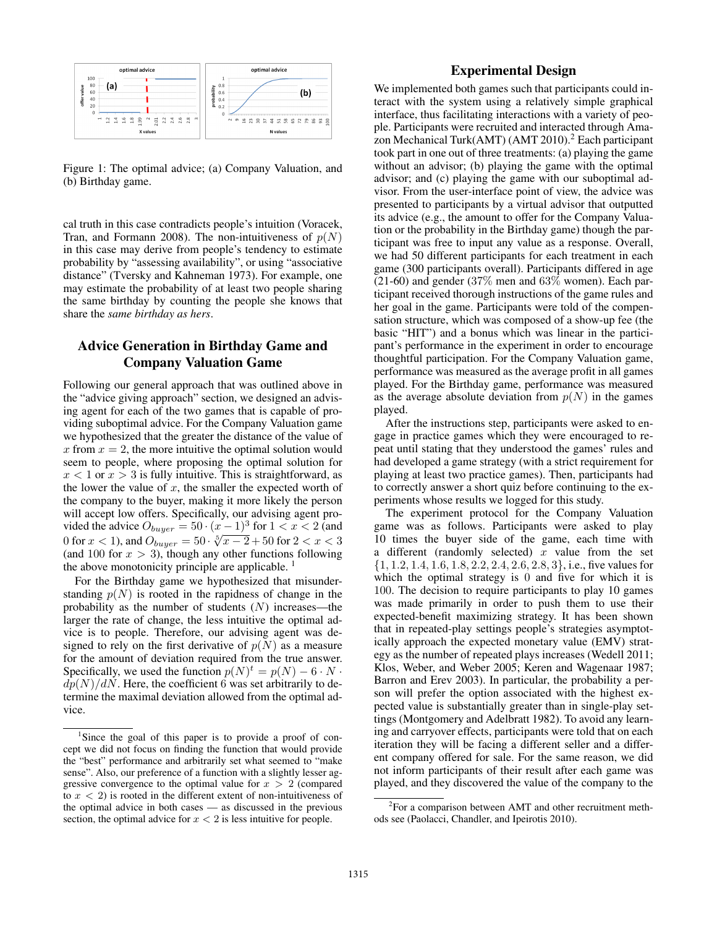

Figure 1: The optimal advice; (a) Company Valuation, and (b) Birthday game.

cal truth in this case contradicts people's intuition (Voracek, Tran, and Formann 2008). The non-intuitiveness of  $p(N)$ in this case may derive from people's tendency to estimate probability by "assessing availability", or using "associative distance" (Tversky and Kahneman 1973). For example, one may estimate the probability of at least two people sharing the same birthday by counting the people she knows that share the *same birthday as hers*.

# Advice Generation in Birthday Game and Company Valuation Game

Following our general approach that was outlined above in the "advice giving approach" section, we designed an advising agent for each of the two games that is capable of providing suboptimal advice. For the Company Valuation game we hypothesized that the greater the distance of the value of x from  $x = 2$ , the more intuitive the optimal solution would seem to people, where proposing the optimal solution for  $x < 1$  or  $x > 3$  is fully intuitive. This is straightforward, as the lower the value of  $x$ , the smaller the expected worth of the company to the buyer, making it more likely the person will accept low offers. Specifically, our advising agent provided the advice  $O_{burger} = 50 \cdot (x-1)^3$  for  $1 < x < 2$  (and vided the advice  $O_{buyer} = 50 \cdot (x - 1)^{3}$  for  $1 < x < 2$  (and<br>0 for  $x < 1$ ), and  $O_{buyer} = 50 \cdot \sqrt[5]{x - 2} + 50$  for  $2 < x < 3$ (and 100 for  $x > 3$ ), though any other functions following the above monotonicity principle are applicable.  $<sup>1</sup>$ </sup>

For the Birthday game we hypothesized that misunderstanding  $p(N)$  is rooted in the rapidness of change in the probability as the number of students  $(N)$  increases—the larger the rate of change, the less intuitive the optimal advice is to people. Therefore, our advising agent was designed to rely on the first derivative of  $p(N)$  as a measure for the amount of deviation required from the true answer. Specifically, we used the function  $p(N)^t = p(N) - 6 \cdot N \cdot$  $dp(N)/dN$ . Here, the coefficient 6 was set arbitrarily to determine the maximal deviation allowed from the optimal advice.

### Experimental Design

We implemented both games such that participants could interact with the system using a relatively simple graphical interface, thus facilitating interactions with a variety of people. Participants were recruited and interacted through Amazon Mechanical Turk(AMT) (AMT 2010).<sup>2</sup> Each participant took part in one out of three treatments: (a) playing the game without an advisor; (b) playing the game with the optimal advisor; and (c) playing the game with our suboptimal advisor. From the user-interface point of view, the advice was presented to participants by a virtual advisor that outputted its advice (e.g., the amount to offer for the Company Valuation or the probability in the Birthday game) though the participant was free to input any value as a response. Overall, we had 50 different participants for each treatment in each game (300 participants overall). Participants differed in age  $(21-60)$  and gender  $(37\%$  men and  $63\%$  women). Each participant received thorough instructions of the game rules and her goal in the game. Participants were told of the compensation structure, which was composed of a show-up fee (the basic "HIT") and a bonus which was linear in the participant's performance in the experiment in order to encourage thoughtful participation. For the Company Valuation game, performance was measured as the average profit in all games played. For the Birthday game, performance was measured as the average absolute deviation from  $p(N)$  in the games played.

After the instructions step, participants were asked to engage in practice games which they were encouraged to repeat until stating that they understood the games' rules and had developed a game strategy (with a strict requirement for playing at least two practice games). Then, participants had to correctly answer a short quiz before continuing to the experiments whose results we logged for this study.

The experiment protocol for the Company Valuation game was as follows. Participants were asked to play 10 times the buyer side of the game, each time with a different (randomly selected)  $x$  value from the set  $\{1, 1.2, 1.4, 1.6, 1.8, 2.2, 2.4, 2.6, 2.8, 3\}$ , i.e., five values for which the optimal strategy is 0 and five for which it is 100. The decision to require participants to play 10 games was made primarily in order to push them to use their expected-benefit maximizing strategy. It has been shown that in repeated-play settings people's strategies asymptotically approach the expected monetary value (EMV) strategy as the number of repeated plays increases (Wedell 2011; Klos, Weber, and Weber 2005; Keren and Wagenaar 1987; Barron and Erev 2003). In particular, the probability a person will prefer the option associated with the highest expected value is substantially greater than in single-play settings (Montgomery and Adelbratt 1982). To avoid any learning and carryover effects, participants were told that on each iteration they will be facing a different seller and a different company offered for sale. For the same reason, we did not inform participants of their result after each game was played, and they discovered the value of the company to the

<sup>&</sup>lt;sup>1</sup>Since the goal of this paper is to provide a proof of concept we did not focus on finding the function that would provide the "best" performance and arbitrarily set what seemed to "make sense". Also, our preference of a function with a slightly lesser aggressive convergence to the optimal value for  $x > 2$  (compared to  $x < 2$ ) is rooted in the different extent of non-intuitiveness of the optimal advice in both cases — as discussed in the previous section, the optimal advice for  $x < 2$  is less intuitive for people.

<sup>&</sup>lt;sup>2</sup> For a comparison between AMT and other recruitment methods see (Paolacci, Chandler, and Ipeirotis 2010).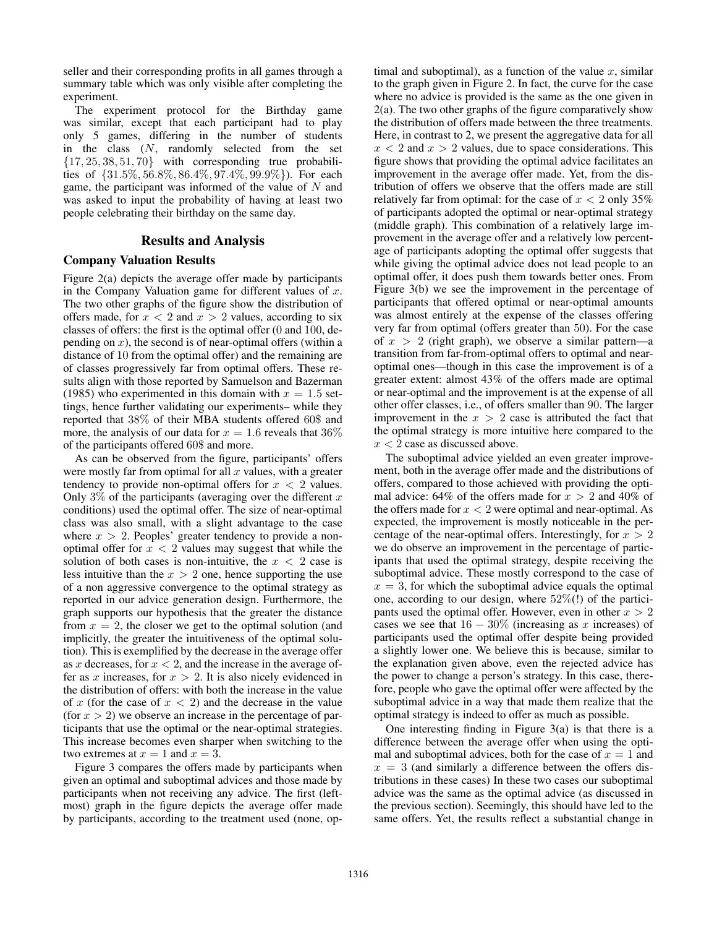seller and their corresponding profits in all games through a summary table which was only visible after completing the experiment.

The experiment protocol for the Birthday game was similar, except that each participant had to play only 5 games, differing in the number of students in the class (N, randomly selected from the set  ${17, 25, 38, 51, 70}$  with corresponding true probabilities of {31.5%, 56.8%, 86.4%, 97.4%, 99.9%}). For each game, the participant was informed of the value of  $N$  and was asked to input the probability of having at least two people celebrating their birthday on the same day.

### Results and Analysis

#### Company Valuation Results

Figure 2(a) depicts the average offer made by participants in the Company Valuation game for different values of  $x$ . The two other graphs of the figure show the distribution of offers made, for  $x < 2$  and  $x > 2$  values, according to six classes of offers: the first is the optimal offer (0 and 100, depending on  $x$ ), the second is of near-optimal offers (within a distance of 10 from the optimal offer) and the remaining are of classes progressively far from optimal offers. These results align with those reported by Samuelson and Bazerman (1985) who experimented in this domain with  $x = 1.5$  settings, hence further validating our experiments– while they reported that 38% of their MBA students offered 60\$ and more, the analysis of our data for  $x = 1.6$  reveals that 36% of the participants offered 60\$ and more.

As can be observed from the figure, participants' offers were mostly far from optimal for all  $x$  values, with a greater tendency to provide non-optimal offers for  $x < 2$  values. Only  $3\%$  of the participants (averaging over the different x conditions) used the optimal offer. The size of near-optimal class was also small, with a slight advantage to the case where  $x > 2$ . Peoples' greater tendency to provide a nonoptimal offer for  $x < 2$  values may suggest that while the solution of both cases is non-intuitive, the  $x < 2$  case is less intuitive than the  $x > 2$  one, hence supporting the use of a non aggressive convergence to the optimal strategy as reported in our advice generation design. Furthermore, the graph supports our hypothesis that the greater the distance from  $x = 2$ , the closer we get to the optimal solution (and implicitly, the greater the intuitiveness of the optimal solution). This is exemplified by the decrease in the average offer as x decreases, for  $x < 2$ , and the increase in the average offer as x increases, for  $x > 2$ . It is also nicely evidenced in the distribution of offers: with both the increase in the value of x (for the case of  $x < 2$ ) and the decrease in the value (for  $x > 2$ ) we observe an increase in the percentage of participants that use the optimal or the near-optimal strategies. This increase becomes even sharper when switching to the two extremes at  $x = 1$  and  $x = 3$ .

Figure 3 compares the offers made by participants when given an optimal and suboptimal advices and those made by participants when not receiving any advice. The first (leftmost) graph in the figure depicts the average offer made by participants, according to the treatment used (none, optimal and suboptimal), as a function of the value  $x$ , similar to the graph given in Figure 2. In fact, the curve for the case where no advice is provided is the same as the one given in 2(a). The two other graphs of the figure comparatively show the distribution of offers made between the three treatments. Here, in contrast to 2, we present the aggregative data for all  $x < 2$  and  $x > 2$  values, due to space considerations. This figure shows that providing the optimal advice facilitates an improvement in the average offer made. Yet, from the distribution of offers we observe that the offers made are still relatively far from optimal: for the case of  $x < 2$  only 35% of participants adopted the optimal or near-optimal strategy (middle graph). This combination of a relatively large improvement in the average offer and a relatively low percentage of participants adopting the optimal offer suggests that while giving the optimal advice does not lead people to an optimal offer, it does push them towards better ones. From Figure 3(b) we see the improvement in the percentage of participants that offered optimal or near-optimal amounts was almost entirely at the expense of the classes offering very far from optimal (offers greater than 50). For the case of  $x > 2$  (right graph), we observe a similar pattern—a transition from far-from-optimal offers to optimal and nearoptimal ones—though in this case the improvement is of a greater extent: almost 43% of the offers made are optimal or near-optimal and the improvement is at the expense of all other offer classes, i.e., of offers smaller than 90. The larger improvement in the  $x > 2$  case is attributed the fact that the optimal strategy is more intuitive here compared to the  $x < 2$  case as discussed above.

The suboptimal advice yielded an even greater improvement, both in the average offer made and the distributions of offers, compared to those achieved with providing the optimal advice: 64% of the offers made for  $x > 2$  and 40% of the offers made for  $x < 2$  were optimal and near-optimal. As expected, the improvement is mostly noticeable in the percentage of the near-optimal offers. Interestingly, for  $x > 2$ we do observe an improvement in the percentage of participants that used the optimal strategy, despite receiving the suboptimal advice. These mostly correspond to the case of  $x = 3$ , for which the suboptimal advice equals the optimal one, according to our design, where 52%(!) of the participants used the optimal offer. However, even in other  $x > 2$ cases we see that  $16 - 30\%$  (increasing as x increases) of participants used the optimal offer despite being provided a slightly lower one. We believe this is because, similar to the explanation given above, even the rejected advice has the power to change a person's strategy. In this case, therefore, people who gave the optimal offer were affected by the suboptimal advice in a way that made them realize that the optimal strategy is indeed to offer as much as possible.

One interesting finding in Figure  $3(a)$  is that there is a difference between the average offer when using the optimal and suboptimal advices, both for the case of  $x = 1$  and  $x = 3$  (and similarly a difference between the offers distributions in these cases) In these two cases our suboptimal advice was the same as the optimal advice (as discussed in the previous section). Seemingly, this should have led to the same offers. Yet, the results reflect a substantial change in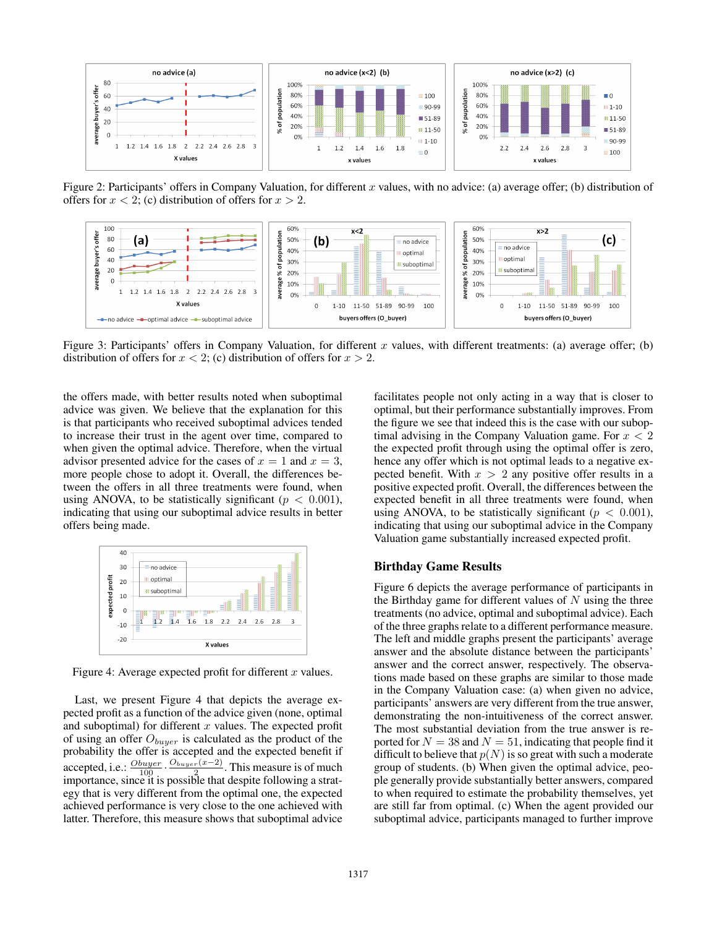

Figure 2: Participants' offers in Company Valuation, for different x values, with no advice: (a) average offer; (b) distribution of offers for  $x < 2$ ; (c) distribution of offers for  $x > 2$ .



Figure 3: Participants' offers in Company Valuation, for different  $x$  values, with different treatments: (a) average offer; (b) distribution of offers for  $x < 2$ ; (c) distribution of offers for  $x > 2$ .

the offers made, with better results noted when suboptimal advice was given. We believe that the explanation for this is that participants who received suboptimal advices tended to increase their trust in the agent over time, compared to when given the optimal advice. Therefore, when the virtual advisor presented advice for the cases of  $x = 1$  and  $x = 3$ , more people chose to adopt it. Overall, the differences between the offers in all three treatments were found, when using ANOVA, to be statistically significant ( $p < 0.001$ ), indicating that using our suboptimal advice results in better offers being made.



Figure 4: Average expected profit for different  $x$  values.

Last, we present Figure 4 that depicts the average expected profit as a function of the advice given (none, optimal and suboptimal) for different  $x$  values. The expected profit of using an offer  $O_{burger}$  is calculated as the product of the probability the offer is accepted and the expected benefit if accepted, i.e.:  $\frac{O_{buyer}}{100} \cdot \frac{O_{buyer}(x-2)}{2}$ . This measure is of much importance, since it is possible that despite following a strategy that is very different from the optimal one, the expected achieved performance is very close to the one achieved with latter. Therefore, this measure shows that suboptimal advice facilitates people not only acting in a way that is closer to optimal, but their performance substantially improves. From the figure we see that indeed this is the case with our suboptimal advising in the Company Valuation game. For  $x < 2$ the expected profit through using the optimal offer is zero, hence any offer which is not optimal leads to a negative expected benefit. With  $x > 2$  any positive offer results in a positive expected profit. Overall, the differences between the expected benefit in all three treatments were found, when using ANOVA, to be statistically significant ( $p < 0.001$ ), indicating that using our suboptimal advice in the Company Valuation game substantially increased expected profit.

#### Birthday Game Results

Figure 6 depicts the average performance of participants in the Birthday game for different values of  $N$  using the three treatments (no advice, optimal and suboptimal advice). Each of the three graphs relate to a different performance measure. The left and middle graphs present the participants' average answer and the absolute distance between the participants' answer and the correct answer, respectively. The observations made based on these graphs are similar to those made in the Company Valuation case: (a) when given no advice, participants' answers are very different from the true answer, demonstrating the non-intuitiveness of the correct answer. The most substantial deviation from the true answer is reported for  $N = 38$  and  $N = 51$ , indicating that people find it difficult to believe that  $p(N)$  is so great with such a moderate group of students. (b) When given the optimal advice, people generally provide substantially better answers, compared to when required to estimate the probability themselves, yet are still far from optimal. (c) When the agent provided our suboptimal advice, participants managed to further improve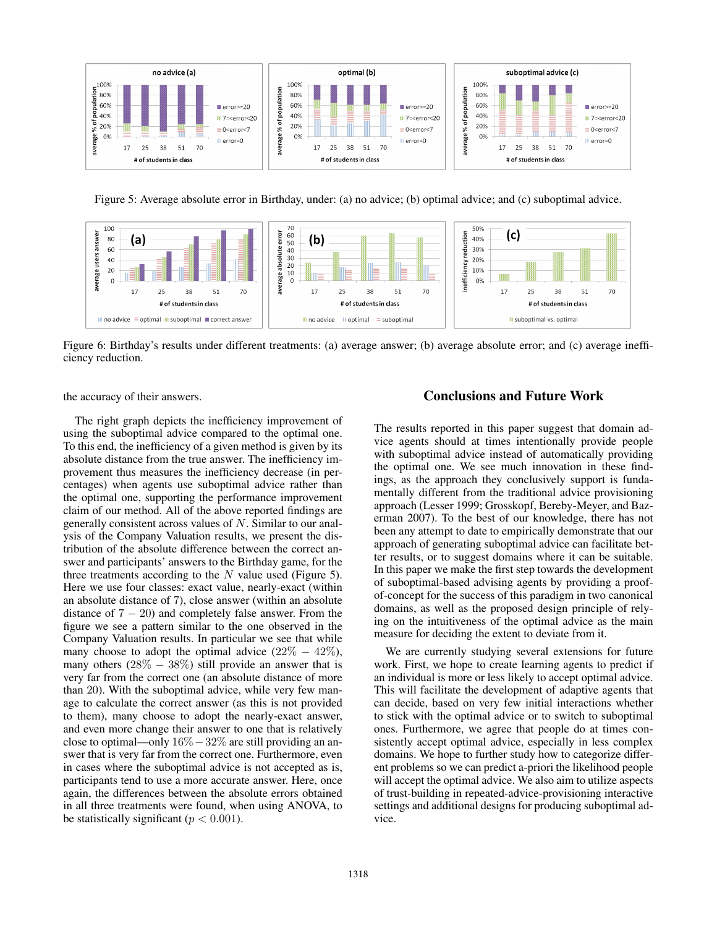

Figure 5: Average absolute error in Birthday, under: (a) no advice; (b) optimal advice; and (c) suboptimal advice.



Figure 6: Birthday's results under different treatments: (a) average answer; (b) average absolute error; and (c) average inefficiency reduction.

the accuracy of their answers.

The right graph depicts the inefficiency improvement of using the suboptimal advice compared to the optimal one. To this end, the inefficiency of a given method is given by its absolute distance from the true answer. The inefficiency improvement thus measures the inefficiency decrease (in percentages) when agents use suboptimal advice rather than the optimal one, supporting the performance improvement claim of our method. All of the above reported findings are generally consistent across values of N. Similar to our analysis of the Company Valuation results, we present the distribution of the absolute difference between the correct answer and participants' answers to the Birthday game, for the three treatments according to the  $N$  value used (Figure 5). Here we use four classes: exact value, nearly-exact (within an absolute distance of 7), close answer (within an absolute distance of  $7 - 20$ ) and completely false answer. From the figure we see a pattern similar to the one observed in the Company Valuation results. In particular we see that while many choose to adopt the optimal advice  $(22\% - 42\%),$ many others  $(28\% - 38\%)$  still provide an answer that is very far from the correct one (an absolute distance of more than 20). With the suboptimal advice, while very few manage to calculate the correct answer (as this is not provided to them), many choose to adopt the nearly-exact answer, and even more change their answer to one that is relatively close to optimal—only 16%−32% are still providing an answer that is very far from the correct one. Furthermore, even in cases where the suboptimal advice is not accepted as is, participants tend to use a more accurate answer. Here, once again, the differences between the absolute errors obtained in all three treatments were found, when using ANOVA, to be statistically significant ( $p < 0.001$ ).

# Conclusions and Future Work

The results reported in this paper suggest that domain advice agents should at times intentionally provide people with suboptimal advice instead of automatically providing the optimal one. We see much innovation in these findings, as the approach they conclusively support is fundamentally different from the traditional advice provisioning approach (Lesser 1999; Grosskopf, Bereby-Meyer, and Bazerman 2007). To the best of our knowledge, there has not been any attempt to date to empirically demonstrate that our approach of generating suboptimal advice can facilitate better results, or to suggest domains where it can be suitable. In this paper we make the first step towards the development of suboptimal-based advising agents by providing a proofof-concept for the success of this paradigm in two canonical domains, as well as the proposed design principle of relying on the intuitiveness of the optimal advice as the main measure for deciding the extent to deviate from it.

We are currently studying several extensions for future work. First, we hope to create learning agents to predict if an individual is more or less likely to accept optimal advice. This will facilitate the development of adaptive agents that can decide, based on very few initial interactions whether to stick with the optimal advice or to switch to suboptimal ones. Furthermore, we agree that people do at times consistently accept optimal advice, especially in less complex domains. We hope to further study how to categorize different problems so we can predict a-priori the likelihood people will accept the optimal advice. We also aim to utilize aspects of trust-building in repeated-advice-provisioning interactive settings and additional designs for producing suboptimal advice.